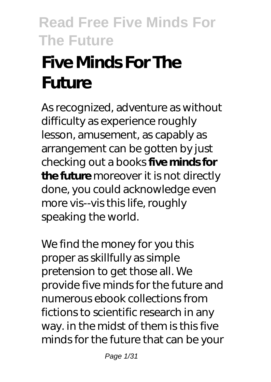# **Five Minds For The Future**

As recognized, adventure as without difficulty as experience roughly lesson, amusement, as capably as arrangement can be gotten by just checking out a books **five minds for the future** moreover it is not directly done, you could acknowledge even more vis--vis this life, roughly speaking the world.

We find the money for you this proper as skillfully as simple pretension to get those all. We provide five minds for the future and numerous ebook collections from fictions to scientific research in any way. in the midst of them is this five minds for the future that can be your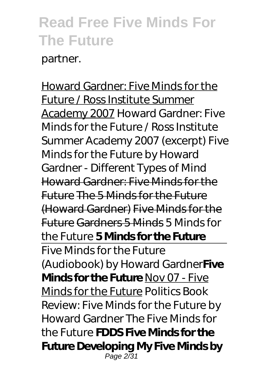partner.

Howard Gardner: Five Minds for the Future / Ross Institute Summer Academy 2007 Howard Gardner: Five Minds for the Future / Ross Institute Summer Academy 2007 (excerpt) *Five Minds for the Future by Howard Gardner - Different Types of Mind* Howard Gardner: Five Minds for the Future The 5 Minds for the Future (Howard Gardner) Five Minds for the Future Gardners 5 Minds *5 Minds for the Future* **5 Minds for the Future** Five Minds for the Future (Audiobook) by Howard Gardner**Five Minds for the Future** Nov 07 - Five Minds for the Future *Politics Book Review: Five Minds for the Future by Howard Gardner The Five Minds for the Future* **FDDS Five Minds for the Future Developing My Five Minds by** Page 2/31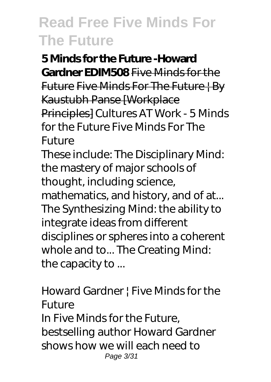**5 Minds for the Future -Howard Gardner EDIM508** Five Minds for the Future Five Minds For The Future | By Kaustubh Panse [Workplace Principles] *Cultures AT Work - 5 Minds for the Future Five Minds For The Future*

These include: The Disciplinary Mind: the mastery of major schools of thought, including science, mathematics, and history, and of at... The Synthesizing Mind: the ability to integrate ideas from different disciplines or spheres into a coherent whole and to... The Creating Mind: the capacity to ...

#### *Howard Gardner | Five Minds for the Future* In Five Minds for the Future, bestselling author Howard Gardner

shows how we will each need to Page 3/31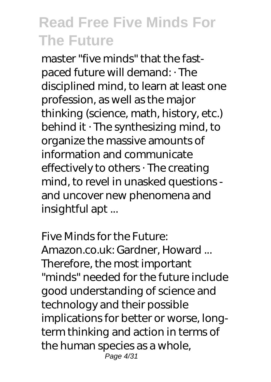master "five minds" that the fastpaced future will demand: · The disciplined mind, to learn at least one profession, as well as the major thinking (science, math, history, etc.) behind it  $\cdot$  The synthesizing mind, to organize the massive amounts of information and communicate effectively to others · The creating mind, to revel in unasked questions and uncover new phenomena and insightful apt ...

*Five Minds for the Future: Amazon.co.uk: Gardner, Howard ...* Therefore, the most important "minds" needed for the future include good understanding of science and technology and their possible implications for better or worse, longterm thinking and action in terms of the human species as a whole, Page 4/31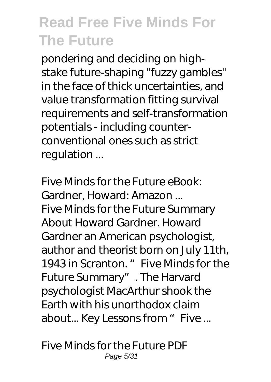pondering and deciding on highstake future-shaping "fuzzy gambles" in the face of thick uncertainties, and value transformation fitting survival requirements and self-transformation potentials - including counterconventional ones such as strict regulation ...

*Five Minds for the Future eBook: Gardner, Howard: Amazon ...* Five Minds for the Future Summary About Howard Gardner. Howard Gardner an American psychologist, author and theorist born on July 11th, 1943 in Scranton. " Five Minds for the Future Summary". The Harvard psychologist MacArthur shook the Earth with his unorthodox claim about... Key Lessons from " Five ...

*Five Minds for the Future PDF* Page 5/31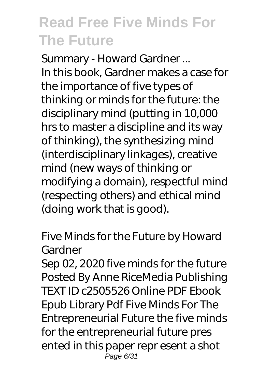*Summary - Howard Gardner ...* In this book, Gardner makes a case for the importance of five types of thinking or minds for the future: the disciplinary mind (putting in 10,000 hrs to master a discipline and its way of thinking), the synthesizing mind (interdisciplinary linkages), creative mind (new ways of thinking or modifying a domain), respectful mind (respecting others) and ethical mind (doing work that is good).

#### *Five Minds for the Future by Howard Gardner*

Sep 02, 2020 five minds for the future Posted By Anne RiceMedia Publishing TEXT ID c2505526 Online PDF Ebook Epub Library Pdf Five Minds For The Entrepreneurial Future the five minds for the entrepreneurial future pres ented in this paper repr esent a shot Page 6/31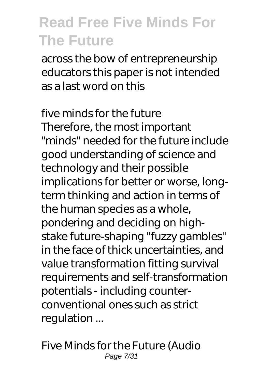across the bow of entrepreneurship educators this paper is not intended as a last word on this

#### *five minds for the future*

Therefore, the most important "minds" needed for the future include good understanding of science and technology and their possible implications for better or worse, longterm thinking and action in terms of the human species as a whole, pondering and deciding on highstake future-shaping "fuzzy gambles" in the face of thick uncertainties, and value transformation fitting survival requirements and self-transformation potentials - including counterconventional ones such as strict regulation ...

*Five Minds for the Future (Audio* Page 7/31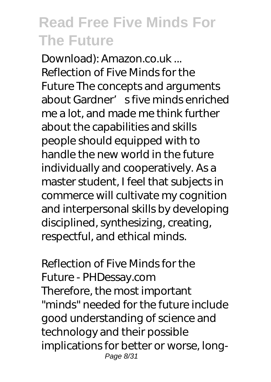*Download): Amazon.co.uk ...* Reflection of Five Minds for the Future The concepts and arguments about Gardner's five minds enriched me a lot, and made me think further about the capabilities and skills people should equipped with to handle the new world in the future individually and cooperatively. As a master student, I feel that subjects in commerce will cultivate my cognition and interpersonal skills by developing disciplined, synthesizing, creating, respectful, and ethical minds.

#### *Reflection of Five Minds for the Future - PHDessay.com*

Therefore, the most important "minds" needed for the future include good understanding of science and technology and their possible implications for better or worse, long-Page 8/31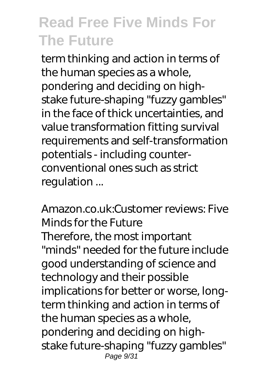term thinking and action in terms of the human species as a whole, pondering and deciding on highstake future-shaping "fuzzy gambles" in the face of thick uncertainties, and value transformation fitting survival requirements and self-transformation potentials - including counterconventional ones such as strict regulation ...

#### *Amazon.co.uk:Customer reviews: Five Minds for the Future*

Therefore, the most important "minds" needed for the future include good understanding of science and technology and their possible implications for better or worse, longterm thinking and action in terms of the human species as a whole, pondering and deciding on highstake future-shaping "fuzzy gambles" Page 9/31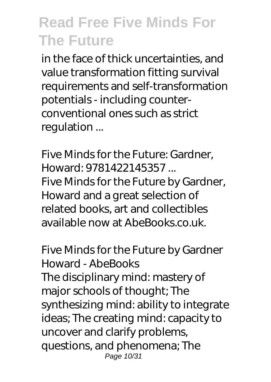in the face of thick uncertainties, and value transformation fitting survival requirements and self-transformation potentials - including counterconventional ones such as strict regulation ...

#### *Five Minds for the Future: Gardner, Howard: 9781422145357 ...*

Five Minds for the Future by Gardner, Howard and a great selection of related books, art and collectibles available now at AbeBooks.co.uk.

#### *Five Minds for the Future by Gardner Howard - AbeBooks*

The disciplinary mind: mastery of major schools of thought; The synthesizing mind: ability to integrate ideas; The creating mind: capacity to uncover and clarify problems, questions, and phenomena; The Page 10/31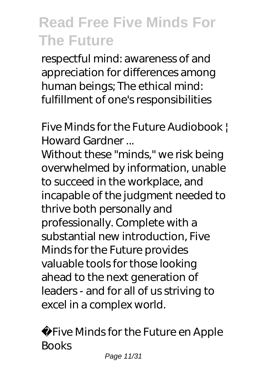respectful mind: awareness of and appreciation for differences among human beings; The ethical mind: fulfillment of one's responsibilities

#### *Five Minds for the Future Audiobook | Howard Gardner ...*

Without these "minds," we risk being overwhelmed by information, unable to succeed in the workplace, and incapable of the judgment needed to thrive both personally and professionally. Complete with a substantial new introduction, Five Minds for the Future provides valuable tools for those looking ahead to the next generation of leaders - and for all of us striving to excel in a complex world.

*Five Minds for the Future en Apple Books*

Page 11/31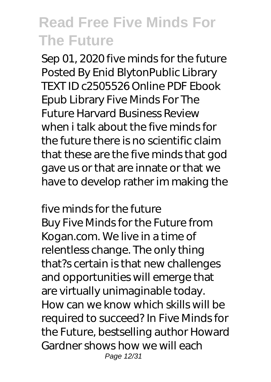Sep 01, 2020 five minds for the future Posted By Enid BlytonPublic Library TEXT ID c2505526 Online PDF Ebook Epub Library Five Minds For The Future Harvard Business Review when i talk about the five minds for the future there is no scientific claim that these are the five minds that god gave us or that are innate or that we have to develop rather im making the

#### *five minds for the future*

Buy Five Minds for the Future from Kogan.com. We live in a time of relentless change. The only thing that?s certain is that new challenges and opportunities will emerge that are virtually unimaginable today. How can we know which skills will be required to succeed? In Five Minds for the Future, bestselling author Howard Gardner shows how we will each Page 12/31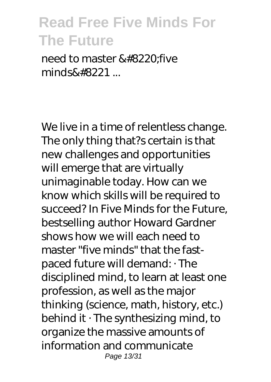need to master &#8220 five  $minds\”...$ 

We live in a time of relentless change. The only thing that?s certain is that new challenges and opportunities will emerge that are virtually unimaginable today. How can we know which skills will be required to succeed? In Five Minds for the Future, bestselling author Howard Gardner shows how we will each need to master "five minds" that the fastpaced future will demand: · The disciplined mind, to learn at least one profession, as well as the major thinking (science, math, history, etc.) behind it · The synthesizing mind, to organize the massive amounts of information and communicate Page 13/31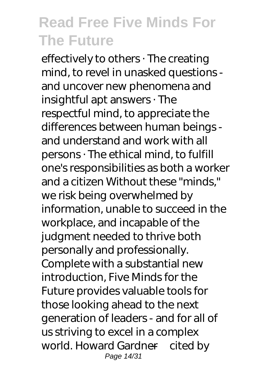effectively to others · The creating mind, to revel in unasked questions and uncover new phenomena and insightful apt answers · The respectful mind, to appreciate the differences between human beings and understand and work with all persons · The ethical mind, to fulfill one's responsibilities as both a worker and a citizen Without these "minds," we risk being overwhelmed by information, unable to succeed in the workplace, and incapable of the judgment needed to thrive both personally and professionally. Complete with a substantial new introduction, Five Minds for the Future provides valuable tools for those looking ahead to the next generation of leaders - and for all of us striving to excel in a complex world. Howard Gardner—cited by Page 14/31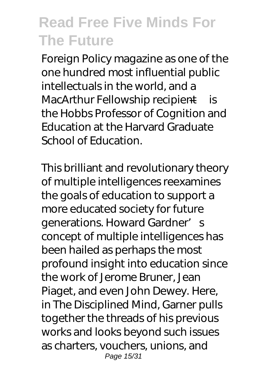Foreign Policy magazine as one of the one hundred most influential public intellectuals in the world, and a MacArthur Fellowship recipient—is the Hobbs Professor of Cognition and Education at the Harvard Graduate School of Education.

This brilliant and revolutionary theory of multiple intelligences reexamines the goals of education to support a more educated society for future generations. Howard Gardner's concept of multiple intelligences has been hailed as perhaps the most profound insight into education since the work of Jerome Bruner, Jean Piaget, and even John Dewey. Here, in The Disciplined Mind, Garner pulls together the threads of his previous works and looks beyond such issues as charters, vouchers, unions, and Page 15/31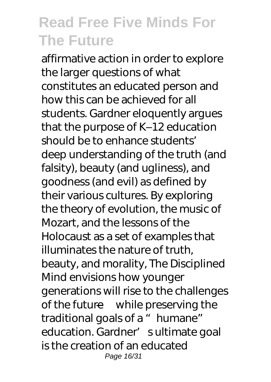affirmative action in order to explore the larger questions of what constitutes an educated person and how this can be achieved for all students. Gardner eloquently argues that the purpose of K–12 education should be to enhance students' deep understanding of the truth (and falsity), beauty (and ugliness), and goodness (and evil) as defined by their various cultures. By exploring the theory of evolution, the music of Mozart, and the lessons of the Holocaust as a set of examples that illuminates the nature of truth, beauty, and morality, The Disciplined Mind envisions how younger generations will rise to the challenges of the future—while preserving the traditional goals of a "humane" education. Gardner' sultimate goal is the creation of an educated Page 16/31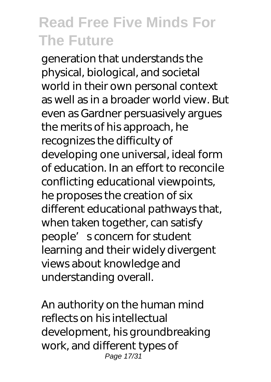generation that understands the physical, biological, and societal world in their own personal context as well as in a broader world view. But even as Gardner persuasively argues the merits of his approach, he recognizes the difficulty of developing one universal, ideal form of education. In an effort to reconcile conflicting educational viewpoints, he proposes the creation of six different educational pathways that, when taken together, can satisfy people's concern for student learning and their widely divergent views about knowledge and understanding overall.

An authority on the human mind reflects on his intellectual development, his groundbreaking work, and different types of Page 17/31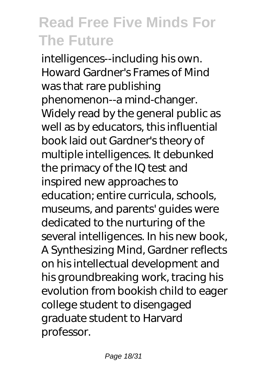intelligences--including his own. Howard Gardner's Frames of Mind was that rare publishing phenomenon--a mind-changer. Widely read by the general public as well as by educators, this influential book laid out Gardner's theory of multiple intelligences. It debunked the primacy of the IQ test and inspired new approaches to education; entire curricula, schools, museums, and parents' guides were dedicated to the nurturing of the several intelligences. In his new book, A Synthesizing Mind, Gardner reflects on his intellectual development and his groundbreaking work, tracing his evolution from bookish child to eager college student to disengaged graduate student to Harvard professor.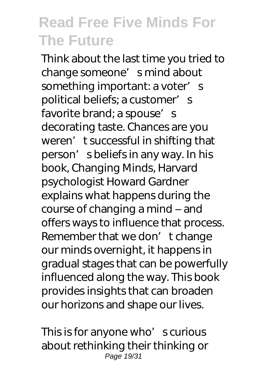Think about the last time you tried to change someone' smind about something important: a voter's political beliefs; a customer's favorite brand; a spouse's decorating taste. Chances are you weren' t successful in shifting that person' s beliefs in any way. In his book, Changing Minds, Harvard psychologist Howard Gardner explains what happens during the course of changing a mind – and offers ways to influence that process. Remember that we don't change our minds overnight, it happens in gradual stages that can be powerfully influenced along the way. This book provides insights that can broaden our horizons and shape our lives.

This is for anyone who's curious about rethinking their thinking or Page 19/31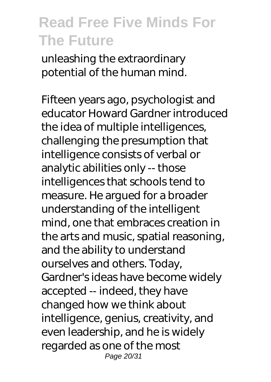unleashing the extraordinary potential of the human mind.

Fifteen years ago, psychologist and educator Howard Gardner introduced the idea of multiple intelligences, challenging the presumption that intelligence consists of verbal or analytic abilities only -- those intelligences that schools tend to measure. He argued for a broader understanding of the intelligent mind, one that embraces creation in the arts and music, spatial reasoning, and the ability to understand ourselves and others. Today, Gardner's ideas have become widely accepted -- indeed, they have changed how we think about intelligence, genius, creativity, and even leadership, and he is widely regarded as one of the most Page 20/31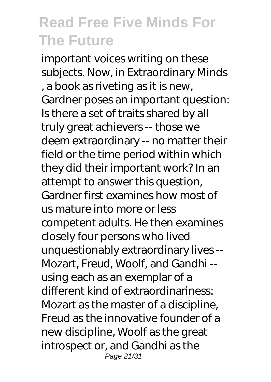important voices writing on these subjects. Now, in Extraordinary Minds , a book as riveting as it is new, Gardner poses an important question: Is there a set of traits shared by all truly great achievers -- those we deem extraordinary -- no matter their field or the time period within which they did their important work? In an attempt to answer this question, Gardner first examines how most of us mature into more or less competent adults. He then examines closely four persons who lived unquestionably extraordinary lives -- Mozart, Freud, Woolf, and Gandhi - using each as an exemplar of a different kind of extraordinariness: Mozart as the master of a discipline, Freud as the innovative founder of a new discipline, Woolf as the great introspect or, and Gandhi as the Page 21/31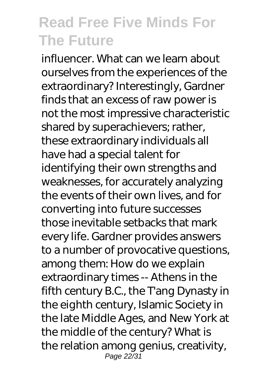influencer. What can we learn about ourselves from the experiences of the extraordinary? Interestingly, Gardner finds that an excess of raw power is not the most impressive characteristic shared by superachievers; rather, these extraordinary individuals all have had a special talent for identifying their own strengths and weaknesses, for accurately analyzing the events of their own lives, and for converting into future successes those inevitable setbacks that mark every life. Gardner provides answers to a number of provocative questions, among them: How do we explain extraordinary times -- Athens in the fifth century B.C., the T'ang Dynasty in the eighth century, Islamic Society in the late Middle Ages, and New York at the middle of the century? What is the relation among genius, creativity, Page 22/31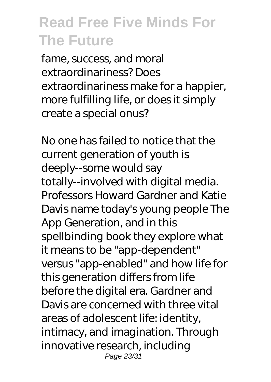fame, success, and moral extraordinariness? Does extraordinariness make for a happier, more fulfilling life, or does it simply create a special onus?

No one has failed to notice that the current generation of youth is deeply--some would say totally--involved with digital media. Professors Howard Gardner and Katie Davis name today's young people The App Generation, and in this spellbinding book they explore what it means to be "app-dependent" versus "app-enabled" and how life for this generation differs from life before the digital era. Gardner and Davis are concerned with three vital areas of adolescent life: identity, intimacy, and imagination. Through innovative research, including Page 23/31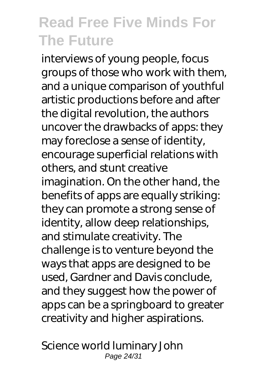interviews of young people, focus groups of those who work with them, and a unique comparison of youthful artistic productions before and after the digital revolution, the authors uncover the drawbacks of apps: they may foreclose a sense of identity, encourage superficial relations with others, and stunt creative imagination. On the other hand, the benefits of apps are equally striking: they can promote a strong sense of identity, allow deep relationships, and stimulate creativity. The challenge is to venture beyond the ways that apps are designed to be used, Gardner and Davis conclude, and they suggest how the power of apps can be a springboard to greater creativity and higher aspirations.

Science world luminary John Page 24/31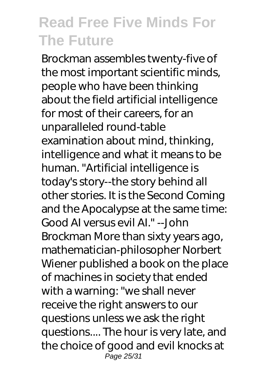Brockman assembles twenty-five of the most important scientific minds, people who have been thinking about the field artificial intelligence for most of their careers, for an unparalleled round-table examination about mind, thinking, intelligence and what it means to be human. "Artificial intelligence is today's story--the story behind all other stories. It is the Second Coming and the Apocalypse at the same time: Good AI versus evil AI." --John Brockman More than sixty years ago, mathematician-philosopher Norbert Wiener published a book on the place of machines in society that ended with a warning: "we shall never receive the right answers to our questions unless we ask the right questions.... The hour is very late, and the choice of good and evil knocks at Page 25/31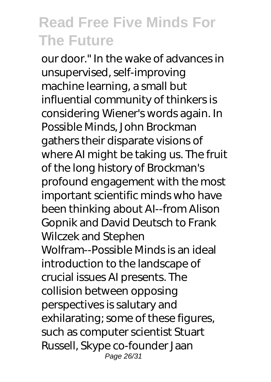our door." In the wake of advances in unsupervised, self-improving machine learning, a small but influential community of thinkers is considering Wiener's words again. In Possible Minds, John Brockman gathers their disparate visions of where AI might be taking us. The fruit of the long history of Brockman's profound engagement with the most important scientific minds who have been thinking about AI--from Alison Gopnik and David Deutsch to Frank Wilczek and Stephen Wolfram--Possible Minds is an ideal introduction to the landscape of crucial issues AI presents. The collision between opposing perspectives is salutary and exhilarating; some of these figures, such as computer scientist Stuart Russell, Skype co-founder Jaan Page 26/31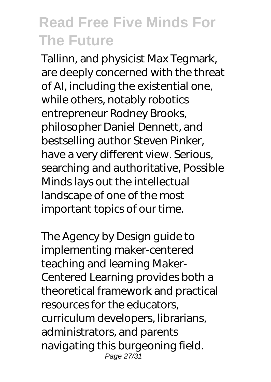Tallinn, and physicist Max Tegmark, are deeply concerned with the threat of AI, including the existential one, while others, notably robotics entrepreneur Rodney Brooks, philosopher Daniel Dennett, and bestselling author Steven Pinker, have a very different view. Serious, searching and authoritative, Possible Minds lays out the intellectual landscape of one of the most important topics of our time.

The Agency by Design guide to implementing maker-centered teaching and learning Maker-Centered Learning provides both a theoretical framework and practical resources for the educators, curriculum developers, librarians, administrators, and parents navigating this burgeoning field. Page 27/31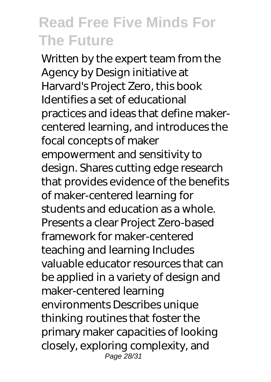Written by the expert team from the Agency by Design initiative at Harvard's Project Zero, this book Identifies a set of educational practices and ideas that define makercentered learning, and introduces the focal concepts of maker empowerment and sensitivity to design. Shares cutting edge research that provides evidence of the benefits of maker-centered learning for students and education as a whole. Presents a clear Project Zero-based framework for maker-centered teaching and learning Includes valuable educator resources that can be applied in a variety of design and maker-centered learning environments Describes unique thinking routines that foster the primary maker capacities of looking closely, exploring complexity, and Page 28/31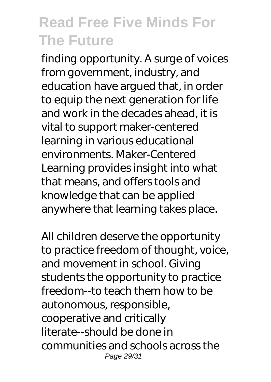finding opportunity. A surge of voices from government, industry, and education have argued that, in order to equip the next generation for life and work in the decades ahead, it is vital to support maker-centered learning in various educational environments. Maker-Centered Learning provides insight into what that means, and offers tools and knowledge that can be applied anywhere that learning takes place.

All children deserve the opportunity to practice freedom of thought, voice, and movement in school. Giving students the opportunity to practice freedom--to teach them how to be autonomous, responsible, cooperative and critically literate--should be done in communities and schools across the Page 29/31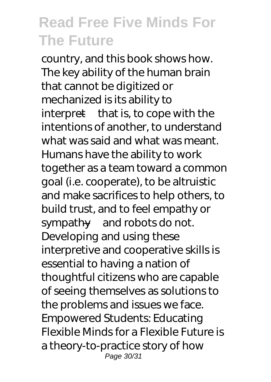country, and this book shows how. The key ability of the human brain that cannot be digitized or mechanized is its ability to interpret—that is, to cope with the intentions of another, to understand what was said and what was meant. Humans have the ability to work together as a team toward a common goal (i.e. cooperate), to be altruistic and make sacrifices to help others, to build trust, and to feel empathy or sympathy—and robots do not. Developing and using these interpretive and cooperative skills is essential to having a nation of thoughtful citizens who are capable of seeing themselves as solutions to the problems and issues we face. Empowered Students: Educating Flexible Minds for a Flexible Future is a theory-to-practice story of how Page 30/31